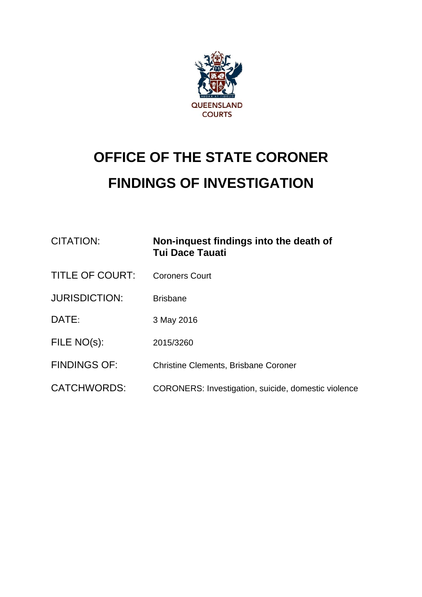

# **OFFICE OF THE STATE CORONER FINDINGS OF INVESTIGATION**

| CITATION:              | Non-inquest findings into the death of<br><b>Tui Dace Tauati</b> |
|------------------------|------------------------------------------------------------------|
| <b>TITLE OF COURT:</b> | <b>Coroners Court</b>                                            |
| <b>JURISDICTION:</b>   | <b>Brisbane</b>                                                  |
| DATE:                  | 3 May 2016                                                       |
| FILE NO(s):            | 2015/3260                                                        |
| <b>FINDINGS OF:</b>    | <b>Christine Clements, Brisbane Coroner</b>                      |
| <b>CATCHWORDS:</b>     | CORONERS: Investigation, suicide, domestic violence              |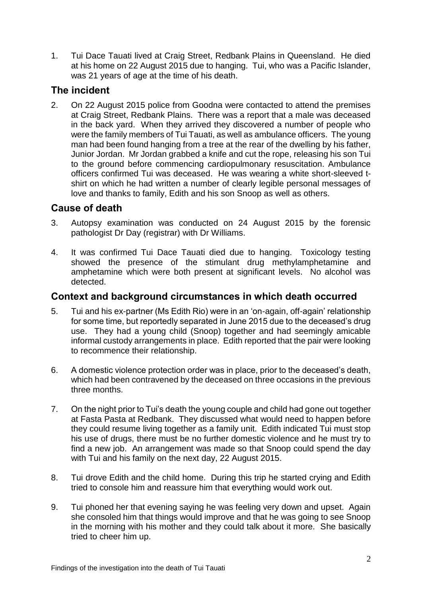1. Tui Dace Tauati lived at Craig Street, Redbank Plains in Queensland. He died at his home on 22 August 2015 due to hanging. Tui, who was a Pacific Islander, was 21 years of age at the time of his death.

# **The incident**

2. On 22 August 2015 police from Goodna were contacted to attend the premises at Craig Street, Redbank Plains. There was a report that a male was deceased in the back yard. When they arrived they discovered a number of people who were the family members of Tui Tauati, as well as ambulance officers. The young man had been found hanging from a tree at the rear of the dwelling by his father, Junior Jordan. Mr Jordan grabbed a knife and cut the rope, releasing his son Tui to the ground before commencing cardiopulmonary resuscitation. Ambulance officers confirmed Tui was deceased. He was wearing a white short-sleeved tshirt on which he had written a number of clearly legible personal messages of love and thanks to family, Edith and his son Snoop as well as others.

# **Cause of death**

- 3. Autopsy examination was conducted on 24 August 2015 by the forensic pathologist Dr Day (registrar) with Dr Williams.
- 4. It was confirmed Tui Dace Tauati died due to hanging. Toxicology testing showed the presence of the stimulant drug methylamphetamine and amphetamine which were both present at significant levels. No alcohol was detected.

### **Context and background circumstances in which death occurred**

- 5. Tui and his ex-partner (Ms Edith Rio) were in an 'on-again, off-again' relationship for some time, but reportedly separated in June 2015 due to the deceased's drug use. They had a young child (Snoop) together and had seemingly amicable informal custody arrangements in place. Edith reported that the pair were looking to recommence their relationship.
- 6. A domestic violence protection order was in place, prior to the deceased's death, which had been contravened by the deceased on three occasions in the previous three months.
- 7. On the night prior to Tui's death the young couple and child had gone out together at Fasta Pasta at Redbank. They discussed what would need to happen before they could resume living together as a family unit. Edith indicated Tui must stop his use of drugs, there must be no further domestic violence and he must try to find a new job. An arrangement was made so that Snoop could spend the day with Tui and his family on the next day, 22 August 2015.
- 8. Tui drove Edith and the child home. During this trip he started crying and Edith tried to console him and reassure him that everything would work out.
- 9. Tui phoned her that evening saying he was feeling very down and upset. Again she consoled him that things would improve and that he was going to see Snoop in the morning with his mother and they could talk about it more. She basically tried to cheer him up.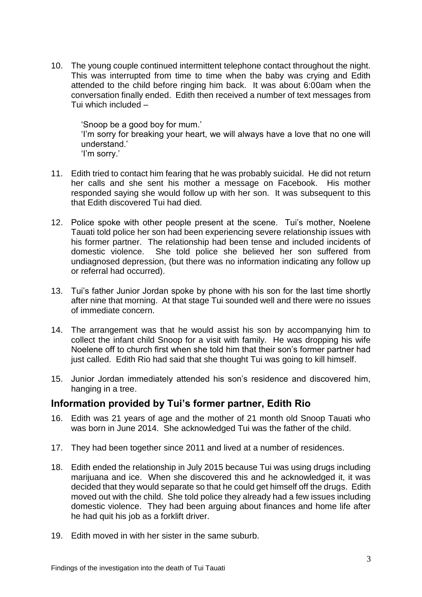10. The young couple continued intermittent telephone contact throughout the night. This was interrupted from time to time when the baby was crying and Edith attended to the child before ringing him back. It was about 6:00am when the conversation finally ended. Edith then received a number of text messages from Tui which included –

'Snoop be a good boy for mum.' 'I'm sorry for breaking your heart, we will always have a love that no one will understand<sup>'</sup> 'I'm sorry.'

- 11. Edith tried to contact him fearing that he was probably suicidal. He did not return her calls and she sent his mother a message on Facebook. His mother responded saying she would follow up with her son. It was subsequent to this that Edith discovered Tui had died.
- 12. Police spoke with other people present at the scene. Tui's mother, Noelene Tauati told police her son had been experiencing severe relationship issues with his former partner. The relationship had been tense and included incidents of domestic violence. She told police she believed her son suffered from undiagnosed depression, (but there was no information indicating any follow up or referral had occurred).
- 13. Tui's father Junior Jordan spoke by phone with his son for the last time shortly after nine that morning. At that stage Tui sounded well and there were no issues of immediate concern.
- 14. The arrangement was that he would assist his son by accompanying him to collect the infant child Snoop for a visit with family. He was dropping his wife Noelene off to church first when she told him that their son's former partner had just called. Edith Rio had said that she thought Tui was going to kill himself.
- 15. Junior Jordan immediately attended his son's residence and discovered him, hanging in a tree.

### **Information provided by Tui's former partner, Edith Rio**

- 16. Edith was 21 years of age and the mother of 21 month old Snoop Tauati who was born in June 2014. She acknowledged Tui was the father of the child.
- 17. They had been together since 2011 and lived at a number of residences.
- 18. Edith ended the relationship in July 2015 because Tui was using drugs including marijuana and ice. When she discovered this and he acknowledged it, it was decided that they would separate so that he could get himself off the drugs. Edith moved out with the child. She told police they already had a few issues including domestic violence. They had been arguing about finances and home life after he had quit his job as a forklift driver.
- 19. Edith moved in with her sister in the same suburb.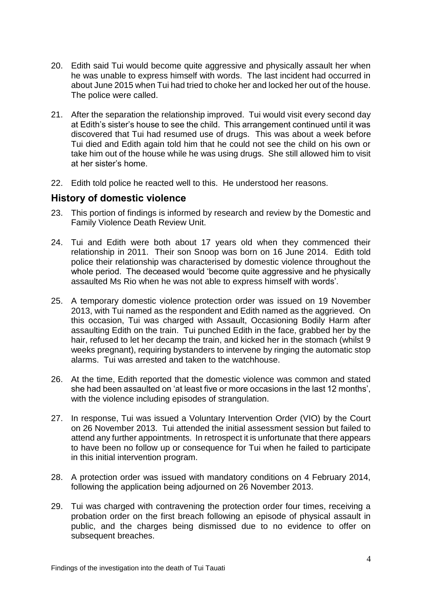- 20. Edith said Tui would become quite aggressive and physically assault her when he was unable to express himself with words. The last incident had occurred in about June 2015 when Tui had tried to choke her and locked her out of the house. The police were called.
- 21. After the separation the relationship improved. Tui would visit every second day at Edith's sister's house to see the child. This arrangement continued until it was discovered that Tui had resumed use of drugs. This was about a week before Tui died and Edith again told him that he could not see the child on his own or take him out of the house while he was using drugs. She still allowed him to visit at her sister's home.
- 22. Edith told police he reacted well to this. He understood her reasons.

#### **History of domestic violence**

- 23. This portion of findings is informed by research and review by the Domestic and Family Violence Death Review Unit.
- 24. Tui and Edith were both about 17 years old when they commenced their relationship in 2011. Their son Snoop was born on 16 June 2014. Edith told police their relationship was characterised by domestic violence throughout the whole period. The deceased would 'become quite aggressive and he physically assaulted Ms Rio when he was not able to express himself with words'.
- 25. A temporary domestic violence protection order was issued on 19 November 2013, with Tui named as the respondent and Edith named as the aggrieved. On this occasion, Tui was charged with Assault, Occasioning Bodily Harm after assaulting Edith on the train. Tui punched Edith in the face, grabbed her by the hair, refused to let her decamp the train, and kicked her in the stomach (whilst 9 weeks pregnant), requiring bystanders to intervene by ringing the automatic stop alarms. Tui was arrested and taken to the watchhouse.
- 26. At the time, Edith reported that the domestic violence was common and stated she had been assaulted on 'at least five or more occasions in the last 12 months', with the violence including episodes of strangulation.
- 27. In response, Tui was issued a Voluntary Intervention Order (VIO) by the Court on 26 November 2013. Tui attended the initial assessment session but failed to attend any further appointments. In retrospect it is unfortunate that there appears to have been no follow up or consequence for Tui when he failed to participate in this initial intervention program.
- 28. A protection order was issued with mandatory conditions on 4 February 2014, following the application being adjourned on 26 November 2013.
- 29. Tui was charged with contravening the protection order four times, receiving a probation order on the first breach following an episode of physical assault in public, and the charges being dismissed due to no evidence to offer on subsequent breaches.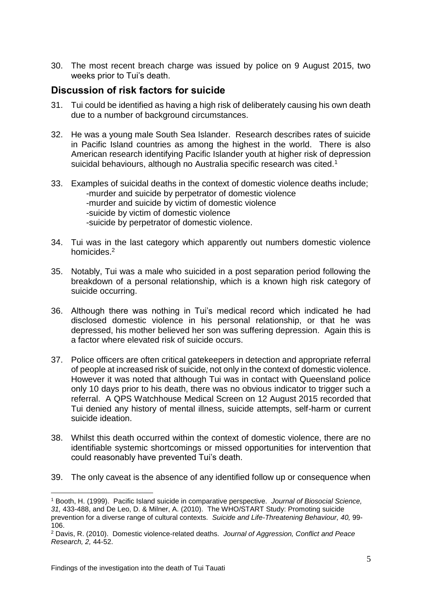30. The most recent breach charge was issued by police on 9 August 2015, two weeks prior to Tui's death.

## **Discussion of risk factors for suicide**

- 31. Tui could be identified as having a high risk of deliberately causing his own death due to a number of background circumstances.
- 32. He was a young male South Sea Islander. Research describes rates of suicide in Pacific Island countries as among the highest in the world. There is also American research identifying Pacific Islander youth at higher risk of depression suicidal behaviours, although no Australia specific research was cited.<sup>1</sup>
- 33. Examples of suicidal deaths in the context of domestic violence deaths include; -murder and suicide by perpetrator of domestic violence -murder and suicide by victim of domestic violence -suicide by victim of domestic violence -suicide by perpetrator of domestic violence.
- 34. Tui was in the last category which apparently out numbers domestic violence homicides.<sup>2</sup>
- 35. Notably, Tui was a male who suicided in a post separation period following the breakdown of a personal relationship, which is a known high risk category of suicide occurring.
- 36. Although there was nothing in Tui's medical record which indicated he had disclosed domestic violence in his personal relationship, or that he was depressed, his mother believed her son was suffering depression. Again this is a factor where elevated risk of suicide occurs.
- 37. Police officers are often critical gatekeepers in detection and appropriate referral of people at increased risk of suicide, not only in the context of domestic violence. However it was noted that although Tui was in contact with Queensland police only 10 days prior to his death, there was no obvious indicator to trigger such a referral. A QPS Watchhouse Medical Screen on 12 August 2015 recorded that Tui denied any history of mental illness, suicide attempts, self-harm or current suicide ideation.
- 38. Whilst this death occurred within the context of domestic violence, there are no identifiable systemic shortcomings or missed opportunities for intervention that could reasonably have prevented Tui's death.
- 39. The only caveat is the absence of any identified follow up or consequence when

1

<sup>1</sup> Booth, H. (1999). Pacific Island suicide in comparative perspective*. Journal of Biosocial Science, 31,* 433-488, and De Leo, D. & Milner, A. (2010). The WHO/START Study: Promoting suicide prevention for a diverse range of cultural contexts. *Suicide and Life-Threatening Behaviour, 40,* 99- 106.

<sup>2</sup> Davis, R. (2010). Domestic violence-related deaths. *Journal of Aggression, Conflict and Peace Research, 2,* 44-52.